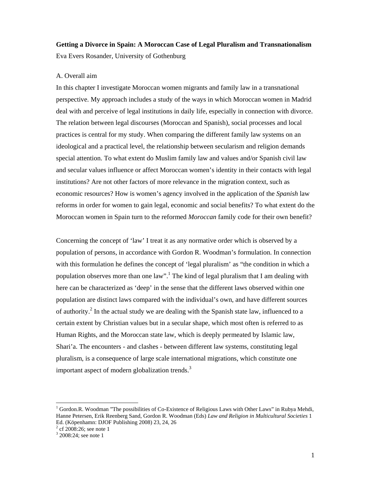# **Getting a Divorce in Spain: A Moroccan Case of Legal Pluralism and Transnationalism**  Eva Evers Rosander, University of Gothenburg

# A. Overall aim

In this chapter I investigate Moroccan women migrants and family law in a transnational perspective. My approach includes a study of the ways in which Moroccan women in Madrid deal with and perceive of legal institutions in daily life, especially in connection with divorce. The relation between legal discourses (Moroccan and Spanish), social processes and local practices is central for my study. When comparing the different family law systems on an ideological and a practical level, the relationship between secularism and religion demands special attention. To what extent do Muslim family law and values and/or Spanish civil law and secular values influence or affect Moroccan women's identity in their contacts with legal institutions? Are not other factors of more relevance in the migration context, such as economic resources? How is women's agency involved in the application of the *Spanish* law reforms in order for women to gain legal, economic and social benefits? To what extent do the Moroccan women in Spain turn to the reformed *Moroccan* family code for their own benefit?

Concerning the concept of 'law' I treat it as any normative order which is observed by a population of persons, in accordance with Gordon R. Woodman's formulation. In connection with this formulation he defines the concept of 'legal pluralism' as "the condition in which a population observes more than one law".<sup>1</sup> The kind of legal pluralism that I am dealing with here can be characterized as 'deep' in the sense that the different laws observed within one population are distinct laws compared with the individual's own, and have different sources of authority.<sup>2</sup> In the actual study we are dealing with the Spanish state law, influenced to a certain extent by Christian values but in a secular shape, which most often is referred to as Human Rights, and the Moroccan state law, which is deeply permeated by Islamic law, Shari'a. The encounters - and clashes - between different law systems, constituting legal pluralism, is a consequence of large scale international migrations, which constitute one important aspect of modern globalization trends.<sup>3</sup>

 $2^2$  cf 2008:26; see note 1

 $1$  Gordon.R. Woodman "The possibilities of Co-Existence of Religious Laws with Other Laws" in Rubya Mehdi, Hanne Petersen, Erik Reenberg Sand, Gordon R. Woodman (Eds) *Law and Religion in Multicultural Societies* 1 Ed. (Köpenhamn: DJOF Publishing 2008) 23, 24, 26

<sup>&</sup>lt;sup>3</sup> 2008:24; see note 1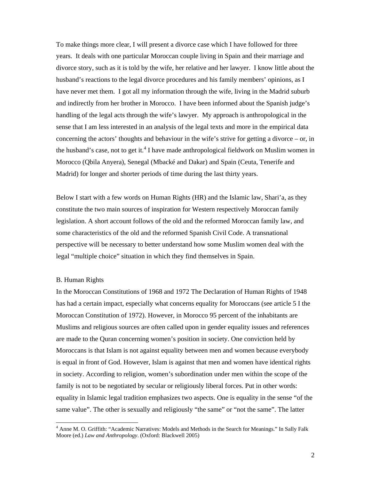To make things more clear, I will present a divorce case which I have followed for three years. It deals with one particular Moroccan couple living in Spain and their marriage and divorce story, such as it is told by the wife, her relative and her lawyer. I know little about the husband's reactions to the legal divorce procedures and his family members' opinions, as I have never met them. I got all my information through the wife, living in the Madrid suburb and indirectly from her brother in Morocco. I have been informed about the Spanish judge's handling of the legal acts through the wife's lawyer. My approach is anthropological in the sense that I am less interested in an analysis of the legal texts and more in the empirical data concerning the actors' thoughts and behaviour in the wife's strive for getting a divorce – or, in the husband's case, not to get it.<sup>4</sup> I have made anthropological fieldwork on Muslim women in Morocco (Qbila Anyera), Senegal (Mbacké and Dakar) and Spain (Ceuta, Tenerife and Madrid) for longer and shorter periods of time during the last thirty years.

Below I start with a few words on Human Rights (HR) and the Islamic law, Shari'a, as they constitute the two main sources of inspiration for Western respectively Moroccan family legislation. A short account follows of the old and the reformed Moroccan family law, and some characteristics of the old and the reformed Spanish Civil Code. A transnational perspective will be necessary to better understand how some Muslim women deal with the legal "multiple choice" situation in which they find themselves in Spain.

# B. Human Rights

 $\overline{\phantom{a}}$ 

In the Moroccan Constitutions of 1968 and 1972 The Declaration of Human Rights of 1948 has had a certain impact, especially what concerns equality for Moroccans (see article 5 I the Moroccan Constitution of 1972). However, in Morocco 95 percent of the inhabitants are Muslims and religious sources are often called upon in gender equality issues and references are made to the Quran concerning women's position in society. One conviction held by Moroccans is that Islam is not against equality between men and women because everybody is equal in front of God. However, Islam is against that men and women have identical rights in society. According to religion, women's subordination under men within the scope of the family is not to be negotiated by secular or religiously liberal forces. Put in other words: equality in Islamic legal tradition emphasizes two aspects. One is equality in the sense "of the same value". The other is sexually and religiously "the same" or "not the same". The latter

<sup>&</sup>lt;sup>4</sup> Anne M. O. Griffith: "Academic Narratives: Models and Methods in the Search for Meanings." In Sally Falk Moore (ed.) *Law and Anthropology*. (Oxford: Blackwell 2005)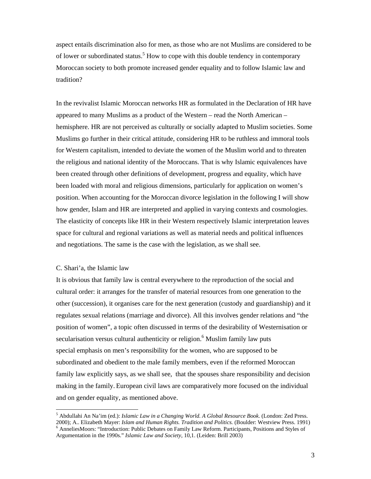aspect entails discrimination also for men, as those who are not Muslims are considered to be of lower or subordinated status.<sup>5</sup> How to cope with this double tendency in contemporary Moroccan society to both promote increased gender equality and to follow Islamic law and tradition?

In the revivalist Islamic Moroccan networks HR as formulated in the Declaration of HR have appeared to many Muslims as a product of the Western – read the North American – hemisphere. HR are not perceived as culturally or socially adapted to Muslim societies. Some Muslims go further in their critical attitude, considering HR to be ruthless and immoral tools for Western capitalism, intended to deviate the women of the Muslim world and to threaten the religious and national identity of the Moroccans. That is why Islamic equivalences have been created through other definitions of development, progress and equality, which have been loaded with moral and religious dimensions, particularly for application on women's position. When accounting for the Moroccan divorce legislation in the following I will show how gender, Islam and HR are interpreted and applied in varying contexts and cosmologies. The elasticity of concepts like HR in their Western respectively Islamic interpretation leaves space for cultural and regional variations as well as material needs and political influences and negotiations. The same is the case with the legislation, as we shall see.

### C. Shari'a, the Islamic law

 $\overline{a}$ 

It is obvious that family law is central everywhere to the reproduction of the social and cultural order: it arranges for the transfer of material resources from one generation to the other (succession), it organises care for the next generation (custody and guardianship) and it regulates sexual relations (marriage and divorce). All this involves gender relations and "the position of women", a topic often discussed in terms of the desirability of Westernisation or secularisation versus cultural authenticity or religion.<sup>6</sup> Muslim family law puts special emphasis on men's responsibility for the women, who are supposed to be subordinated and obedient to the male family members, even if the reformed Moroccan family law explicitly says, as we shall see, that the spouses share responsibility and decision making in the family. European civil laws are comparatively more focused on the individual and on gender equality, as mentioned above.

<sup>5</sup> Abdullahi An Na'im (ed.): *Islamic Law in a Changing World. A Global Resource Book*. (London: Zed Press. 2000); A.. Elizabeth Mayer: *Islam and Human Rights. Tradition and Politics*. (Boulder: Westview Press. 1991) <sup>6</sup> AnneliesMoors: "Introduction: Public Debates on Family Law Reform. Participants, Positions and Styles of Argumentation in the 1990s." *Islamic Law and Society*, 10,1. (Leiden: Brill 2003)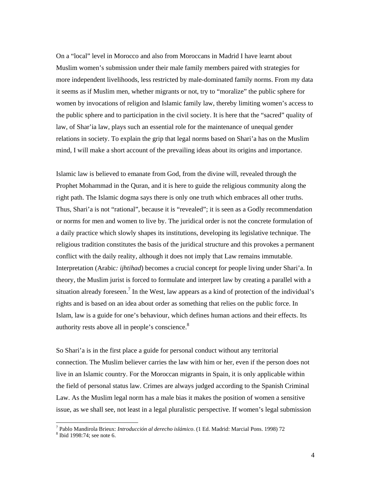On a "local" level in Morocco and also from Moroccans in Madrid I have learnt about Muslim women's submission under their male family members paired with strategies for more independent livelihoods, less restricted by male-dominated family norms. From my data it seems as if Muslim men, whether migrants or not, try to "moralize" the public sphere for women by invocations of religion and Islamic family law, thereby limiting women's access to the public sphere and to participation in the civil society. It is here that the "sacred" quality of law, of Shar'ia law, plays such an essential role for the maintenance of unequal gender relations in society. To explain the grip that legal norms based on Shari'a has on the Muslim mind, I will make a short account of the prevailing ideas about its origins and importance.

Islamic law is believed to emanate from God, from the divine will, revealed through the Prophet Mohammad in the Quran, and it is here to guide the religious community along the right path. The Islamic dogma says there is only one truth which embraces all other truths. Thus, Shari'a is not "rational", because it is "revealed"; it is seen as a Godly recommendation or norms for men and women to live by. The juridical order is not the concrete formulation of a daily practice which slowly shapes its institutions, developing its legislative technique. The religious tradition constitutes the basis of the juridical structure and this provokes a permanent conflict with the daily reality, although it does not imply that Law remains immutable. Interpretation (Arabic*: ijhtihad*) becomes a crucial concept for people living under Shari'a. In theory, the Muslim jurist is forced to formulate and interpret law by creating a parallel with a situation already foreseen.<sup>7</sup> In the West, law appears as a kind of protection of the individual's rights and is based on an idea about order as something that relies on the public force. In Islam, law is a guide for one's behaviour, which defines human actions and their effects. Its authority rests above all in people's conscience.<sup>8</sup>

So Shari'a is in the first place a guide for personal conduct without any territorial connection. The Muslim believer carries the law with him or her, even if the person does not live in an Islamic country. For the Moroccan migrants in Spain, it is only applicable within the field of personal status law. Crimes are always judged according to the Spanish Criminal Law. As the Muslim legal norm has a male bias it makes the position of women a sensitive issue, as we shall see, not least in a legal pluralistic perspective. If women's legal submission

<sup>&</sup>lt;sup>7</sup> Pablo Mandirola Brieux: *Introducción al derecho islámico*. (1 Ed. Madrid: Marcial Pons. 1998) 72<br><sup>8</sup> Ibid 1008:74: seg nota 6

 $8$  Ibid 1998:74; see note 6.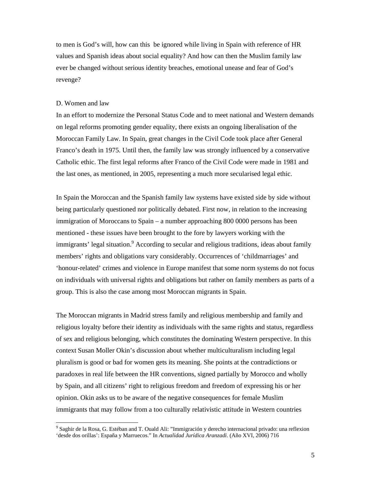to men is God's will, how can this be ignored while living in Spain with reference of HR values and Spanish ideas about social equality? And how can then the Muslim family law ever be changed without serious identity breaches, emotional unease and fear of God's revenge?

## D. Women and law

 $\overline{\phantom{a}}$ 

In an effort to modernize the Personal Status Code and to meet national and Western demands on legal reforms promoting gender equality, there exists an ongoing liberalisation of the Moroccan Family Law. In Spain, great changes in the Civil Code took place after General Franco's death in 1975. Until then, the family law was strongly influenced by a conservative Catholic ethic. The first legal reforms after Franco of the Civil Code were made in 1981 and the last ones, as mentioned, in 2005, representing a much more secularised legal ethic.

In Spain the Moroccan and the Spanish family law systems have existed side by side without being particularly questioned nor politically debated. First now, in relation to the increasing immigration of Moroccans to Spain – a number approaching 800 0000 persons has been mentioned - these issues have been brought to the fore by lawyers working with the immigrants' legal situation.<sup>9</sup> According to secular and religious traditions, ideas about family members' rights and obligations vary considerably. Occurrences of 'childmarriages' and 'honour-related' crimes and violence in Europe manifest that some norm systems do not focus on individuals with universal rights and obligations but rather on family members as parts of a group. This is also the case among most Moroccan migrants in Spain.

The Moroccan migrants in Madrid stress family and religious membership and family and religious loyalty before their identity as individuals with the same rights and status, regardless of sex and religious belonging, which constitutes the dominating Western perspective. In this context Susan Moller Okin's discussion about whether multiculturalism including legal pluralism is good or bad for women gets its meaning. She points at the contradictions or paradoxes in real life between the HR conventions, signed partially by Morocco and wholly by Spain, and all citizens' right to religious freedom and freedom of expressing his or her opinion. Okin asks us to be aware of the negative consequences for female Muslim immigrants that may follow from a too culturally relativistic attitude in Western countries

<sup>&</sup>lt;sup>9</sup> Saghir de la Rosa, G. Estéban and T. Ouald Ali: "Immigración y derecho internacional privado: una reflexion 'desde dos orillas': España y Marruecos." In *Actualidad Jurídica Aranzadi*. (Año XVI, 2006) 716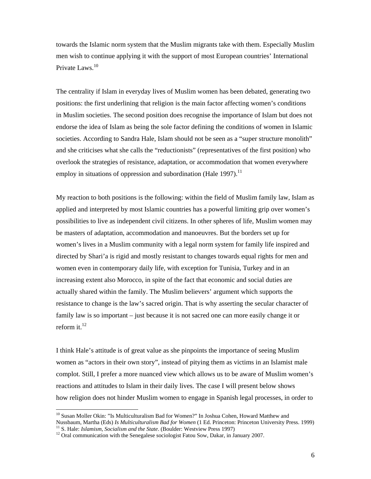towards the Islamic norm system that the Muslim migrants take with them. Especially Muslim men wish to continue applying it with the support of most European countries' International Private Laws.10

The centrality if Islam in everyday lives of Muslim women has been debated, generating two positions: the first underlining that religion is the main factor affecting women's conditions in Muslim societies. The second position does recognise the importance of Islam but does not endorse the idea of Islam as being the sole factor defining the conditions of women in Islamic societies. According to Sandra Hale, Islam should not be seen as a "super structure monolith" and she criticises what she calls the "reductionists" (representatives of the first position) who overlook the strategies of resistance, adaptation, or accommodation that women everywhere employ in situations of oppression and subordination (Hale 1997).<sup>11</sup>

My reaction to both positions is the following: within the field of Muslim family law, Islam as applied and interpreted by most Islamic countries has a powerful limiting grip over women's possibilities to live as independent civil citizens. In other spheres of life, Muslim women may be masters of adaptation, accommodation and manoeuvres. But the borders set up for women's lives in a Muslim community with a legal norm system for family life inspired and directed by Shari'a is rigid and mostly resistant to changes towards equal rights for men and women even in contemporary daily life, with exception for Tunisia, Turkey and in an increasing extent also Morocco, in spite of the fact that economic and social duties are actually shared within the family. The Muslim believers' argument which supports the resistance to change is the law's sacred origin. That is why asserting the secular character of family law is so important – just because it is not sacred one can more easily change it or reform it.<sup>12</sup>

I think Hale's attitude is of great value as she pinpoints the importance of seeing Muslim women as "actors in their own story", instead of pitying them as victims in an Islamist male complot. Still, I prefer a more nuanced view which allows us to be aware of Muslim women's reactions and attitudes to Islam in their daily lives. The case I will present below shows how religion does not hinder Muslim women to engage in Spanish legal processes, in order to

<sup>&</sup>lt;sup>10</sup> Susan Moller Okin: "Is Multiculturalism Bad for Women?" In Joshua Cohen, Howard Matthew and Nussbaum, Martha (Eds) Is Multiculturalism Bad for Women (1 Ed. Princeton: Princeton University Press. 1999)<br><sup>11</sup> S. Hale: *Islamism, Socialism and the State*. (Boulder: Westview Press 1997)<br><sup>12</sup> Oral communication with th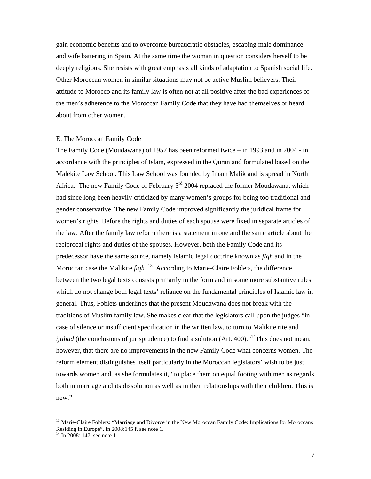gain economic benefits and to overcome bureaucratic obstacles, escaping male dominance and wife battering in Spain. At the same time the woman in question considers herself to be deeply religious. She resists with great emphasis all kinds of adaptation to Spanish social life. Other Moroccan women in similar situations may not be active Muslim believers. Their attitude to Morocco and its family law is often not at all positive after the bad experiences of the men's adherence to the Moroccan Family Code that they have had themselves or heard about from other women.

### E. The Moroccan Family Code

The Family Code (Moudawana) of 1957 has been reformed twice – in 1993 and in 2004 - in accordance with the principles of Islam, expressed in the Quran and formulated based on the Malekite Law School. This Law School was founded by Imam Malik and is spread in North Africa. The new Family Code of February  $3<sup>rd</sup>$  2004 replaced the former Moudawana, which had since long been heavily criticized by many women's groups for being too traditional and gender conservative. The new Family Code improved significantly the juridical frame for women's rights. Before the rights and duties of each spouse were fixed in separate articles of the law. After the family law reform there is a statement in one and the same article about the reciprocal rights and duties of the spouses. However, both the Family Code and its predecessor have the same source, namely Islamic legal doctrine known as *fiqh* and in the Moroccan case the Malikite *fiqh* . 13 According to Marie-Claire Foblets, the difference between the two legal texts consists primarily in the form and in some more substantive rules, which do not change both legal texts' reliance on the fundamental principles of Islamic law in general. Thus, Foblets underlines that the present Moudawana does not break with the traditions of Muslim family law. She makes clear that the legislators call upon the judges "in case of silence or insufficient specification in the written law, to turn to Malikite rite and *ijtihad* (the conclusions of jurisprudence) to find a solution (Art. 400)."<sup>14</sup>This does not mean, however, that there are no improvements in the new Family Code what concerns women. The reform element distinguishes itself particularly in the Moroccan legislators' wish to be just towards women and, as she formulates it, "to place them on equal footing with men as regards both in marriage and its dissolution as well as in their relationships with their children. This is new."

<sup>&</sup>lt;sup>13</sup> Marie-Claire Foblets: "Marriage and Divorce in the New Moroccan Family Code: Implications for Moroccans Residing in Europe". In 2008:145 f. see note 1.

 $14$  In 2008: 147, see note 1.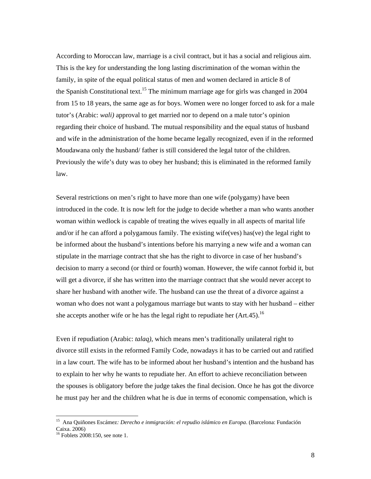According to Moroccan law, marriage is a civil contract, but it has a social and religious aim. This is the key for understanding the long lasting discrimination of the woman within the family, in spite of the equal political status of men and women declared in article 8 of the Spanish Constitutional text.<sup>15</sup> The minimum marriage age for girls was changed in 2004 from 15 to 18 years, the same age as for boys. Women were no longer forced to ask for a male tutor's (Arabic: *wali)* approval to get married nor to depend on a male tutor's opinion regarding their choice of husband. The mutual responsibility and the equal status of husband and wife in the administration of the home became legally recognized, even if in the reformed Moudawana only the husband/ father is still considered the legal tutor of the children. Previously the wife's duty was to obey her husband; this is eliminated in the reformed family law.

Several restrictions on men's right to have more than one wife (polygamy) have been introduced in the code. It is now left for the judge to decide whether a man who wants another woman within wedlock is capable of treating the wives equally in all aspects of marital life and/or if he can afford a polygamous family. The existing wife(ves) has(ve) the legal right to be informed about the husband's intentions before his marrying a new wife and a woman can stipulate in the marriage contract that she has the right to divorce in case of her husband's decision to marry a second (or third or fourth) woman. However, the wife cannot forbid it, but will get a divorce, if she has written into the marriage contract that she would never accept to share her husband with another wife. The husband can use the threat of a divorce against a woman who does not want a polygamous marriage but wants to stay with her husband – either she accepts another wife or he has the legal right to repudiate her  $(Art.45)$ .<sup>16</sup>

Even if repudiation (Arabic: *talaq)*, which means men's traditionally unilateral right to divorce still exists in the reformed Family Code, nowadays it has to be carried out and ratified in a law court. The wife has to be informed about her husband's intention and the husband has to explain to her why he wants to repudiate her. An effort to achieve reconciliation between the spouses is obligatory before the judge takes the final decision. Once he has got the divorce he must pay her and the children what he is due in terms of economic compensation, which is

<sup>15</sup> Ana Quiñones Escámez*: Derecho e inmigración: el repudio islámico en Europa*. (Barcelona: Fundación Caixa. 2006)

<sup>&</sup>lt;sup>16</sup> Foblets 2008:150, see note 1.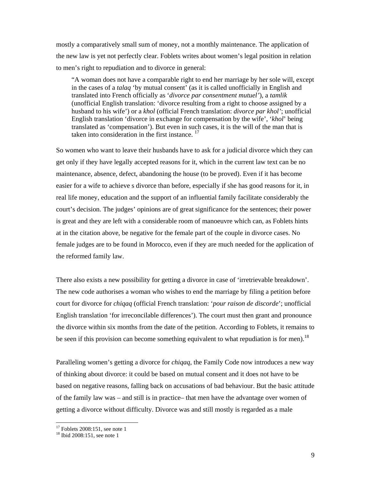mostly a comparatively small sum of money, not a monthly maintenance. The application of the new law is yet not perfectly clear. Foblets writes about women's legal position in relation to men's right to repudiation and to divorce in general:

 "A woman does not have a comparable right to end her marriage by her sole will, except in the cases of a *talaq* 'by mutual consent' (as it is called unofficially in English and translated into French officially as '*divorce par consentment mutuel'*), a *tamlik* (unofficial English translation: 'divorce resulting from a right to choose assigned by a husband to his wife') or a *khol* (official French translation: *divorce par khol'*; unofficial English translation 'divorce in exchange for compensation by the wife', '*khol*' being translated as 'compensation'). But even in such cases, it is the will of the man that is taken into consideration in the first instance.<sup>17</sup>

So women who want to leave their husbands have to ask for a judicial divorce which they can get only if they have legally accepted reasons for it, which in the current law text can be no maintenance, absence, defect, abandoning the house (to be proved). Even if it has become easier for a wife to achieve s divorce than before, especially if she has good reasons for it, in real life money, education and the support of an influential family facilitate considerably the court's decision. The judges' opinions are of great significance for the sentences; their power is great and they are left with a considerable room of manoeuvre which can, as Foblets hints at in the citation above, be negative for the female part of the couple in divorce cases. No female judges are to be found in Morocco, even if they are much needed for the application of the reformed family law.

There also exists a new possibility for getting a divorce in case of 'irretrievable breakdown'. The new code authorises a woman who wishes to end the marriage by filing a petition before court for divorce for *chiqaq* (official French translation: '*pour raison de discorde*'; unofficial English translation 'for irreconcilable differences'). The court must then grant and pronounce the divorce within six months from the date of the petition. According to Foblets, it remains to be seen if this provision can become something equivalent to what repudiation is for men).<sup>18</sup>

Paralleling women's getting a divorce for *chiqaq*, the Family Code now introduces a new way of thinking about divorce: it could be based on mutual consent and it does not have to be based on negative reasons, falling back on accusations of bad behaviour. But the basic attitude of the family law was – and still is in practice– that men have the advantage over women of getting a divorce without difficulty. Divorce was and still mostly is regarded as a male

 $17$  Foblets 2008:151, see note 1

 $18$  Ibid 2008:151, see note 1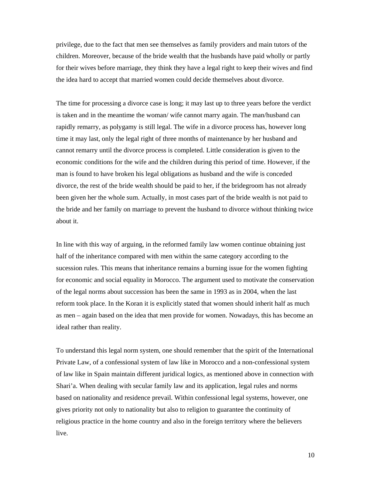privilege, due to the fact that men see themselves as family providers and main tutors of the children. Moreover, because of the bride wealth that the husbands have paid wholly or partly for their wives before marriage, they think they have a legal right to keep their wives and find the idea hard to accept that married women could decide themselves about divorce.

The time for processing a divorce case is long; it may last up to three years before the verdict is taken and in the meantime the woman/ wife cannot marry again. The man/husband can rapidly remarry, as polygamy is still legal. The wife in a divorce process has, however long time it may last, only the legal right of three months of maintenance by her husband and cannot remarry until the divorce process is completed. Little consideration is given to the economic conditions for the wife and the children during this period of time. However, if the man is found to have broken his legal obligations as husband and the wife is conceded divorce, the rest of the bride wealth should be paid to her, if the bridegroom has not already been given her the whole sum. Actually, in most cases part of the bride wealth is not paid to the bride and her family on marriage to prevent the husband to divorce without thinking twice about it.

In line with this way of arguing, in the reformed family law women continue obtaining just half of the inheritance compared with men within the same category according to the sucession rules. This means that inheritance remains a burning issue for the women fighting for economic and social equality in Morocco. The argument used to motivate the conservation of the legal norms about succession has been the same in 1993 as in 2004, when the last reform took place. In the Koran it is explicitly stated that women should inherit half as much as men – again based on the idea that men provide for women. Nowadays, this has become an ideal rather than reality.

To understand this legal norm system, one should remember that the spirit of the International Private Law, of a confessional system of law like in Morocco and a non-confessional system of law like in Spain maintain different juridical logics, as mentioned above in connection with Shari'a. When dealing with secular family law and its application, legal rules and norms based on nationality and residence prevail. Within confessional legal systems, however, one gives priority not only to nationality but also to religion to guarantee the continuity of religious practice in the home country and also in the foreign territory where the believers live.

10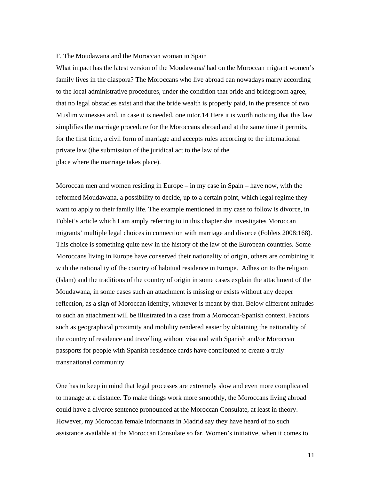## F. The Moudawana and the Moroccan woman in Spain

What impact has the latest version of the Moudawana/ had on the Moroccan migrant women's family lives in the diaspora? The Moroccans who live abroad can nowadays marry according to the local administrative procedures, under the condition that bride and bridegroom agree, that no legal obstacles exist and that the bride wealth is properly paid, in the presence of two Muslim witnesses and, in case it is needed, one tutor.14 Here it is worth noticing that this law simplifies the marriage procedure for the Moroccans abroad and at the same time it permits, for the first time, a civil form of marriage and accepts rules according to the international private law (the submission of the juridical act to the law of the place where the marriage takes place).

Moroccan men and women residing in Europe – in my case in Spain – have now, with the reformed Moudawana, a possibility to decide, up to a certain point, which legal regime they want to apply to their family life. The example mentioned in my case to follow is divorce, in Foblet's article which I am amply referring to in this chapter she investigates Moroccan migrants' multiple legal choices in connection with marriage and divorce (Foblets 2008:168). This choice is something quite new in the history of the law of the European countries. Some Moroccans living in Europe have conserved their nationality of origin, others are combining it with the nationality of the country of habitual residence in Europe. Adhesion to the religion (Islam) and the traditions of the country of origin in some cases explain the attachment of the Moudawana, in some cases such an attachment is missing or exists without any deeper reflection, as a sign of Moroccan identity, whatever is meant by that. Below different attitudes to such an attachment will be illustrated in a case from a Moroccan-Spanish context. Factors such as geographical proximity and mobility rendered easier by obtaining the nationality of the country of residence and travelling without visa and with Spanish and/or Moroccan passports for people with Spanish residence cards have contributed to create a truly transnational community

One has to keep in mind that legal processes are extremely slow and even more complicated to manage at a distance. To make things work more smoothly, the Moroccans living abroad could have a divorce sentence pronounced at the Moroccan Consulate, at least in theory. However, my Moroccan female informants in Madrid say they have heard of no such assistance available at the Moroccan Consulate so far. Women's initiative, when it comes to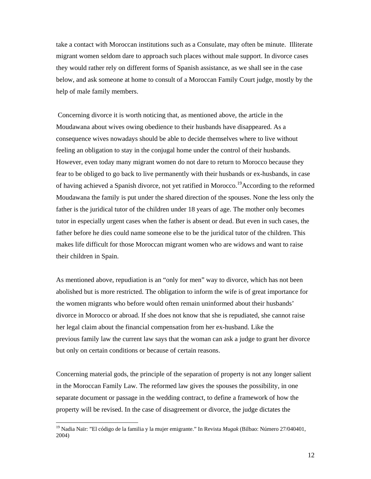take a contact with Moroccan institutions such as a Consulate, may often be minute. Illiterate migrant women seldom dare to approach such places without male support. In divorce cases they would rather rely on different forms of Spanish assistance, as we shall see in the case below, and ask someone at home to consult of a Moroccan Family Court judge, mostly by the help of male family members.

 Concerning divorce it is worth noticing that, as mentioned above, the article in the Moudawana about wives owing obedience to their husbands have disappeared. As a consequence wives nowadays should be able to decide themselves where to live without feeling an obligation to stay in the conjugal home under the control of their husbands. However, even today many migrant women do not dare to return to Morocco because they fear to be obliged to go back to live permanently with their husbands or ex-husbands, in case of having achieved a Spanish divorce, not yet ratified in Morocco.<sup>19</sup>According to the reformed Moudawana the family is put under the shared direction of the spouses. None the less only the father is the juridical tutor of the children under 18 years of age. The mother only becomes tutor in especially urgent cases when the father is absent or dead. But even in such cases, the father before he dies could name someone else to be the juridical tutor of the children. This makes life difficult for those Moroccan migrant women who are widows and want to raise their children in Spain.

As mentioned above, repudiation is an "only for men" way to divorce, which has not been abolished but is more restricted. The obligation to inform the wife is of great importance for the women migrants who before would often remain uninformed about their husbands' divorce in Morocco or abroad. If she does not know that she is repudiated, she cannot raise her legal claim about the financial compensation from her ex-husband. Like the previous family law the current law says that the woman can ask a judge to grant her divorce but only on certain conditions or because of certain reasons.

Concerning material gods, the principle of the separation of property is not any longer salient in the Moroccan Family Law. The reformed law gives the spouses the possibility, in one separate document or passage in the wedding contract, to define a framework of how the property will be revised. In the case of disagreement or divorce, the judge dictates the

<sup>19</sup> Nadia Naïr: "El código de la familia y la mujer emigrante." In Revista *Mugak* (Bilbao: Número 27/040401, 2004)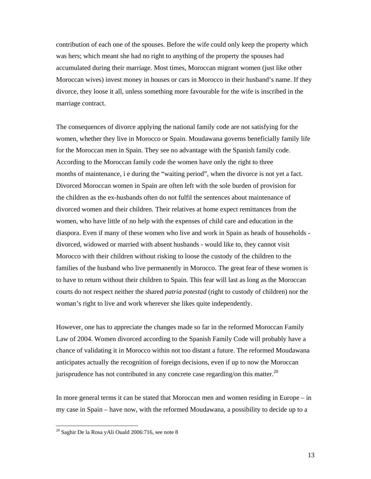contribution of each one of the spouses. Before the wife could only keep the property which was hers; which meant she had no right to anything of the property the spouses had accumulated during their marriage. Most times, Moroccan migrant women (just like other Moroccan wives) invest money in houses or cars in Morocco in their husband's name. If they divorce, they loose it all, unless something more favourable for the wife is inscribed in the marriage contract.

The consequences of divorce applying the national family code are not satisfying for the women, whether they live in Morocco or Spain. Moudawana governs beneficially family life for the Moroccan men in Spain. They see no advantage with the Spanish family code. According to the Moroccan family code the women have only the right to three months of maintenance, i e during the "waiting period", when the divorce is not yet a fact. Divorced Moroccan women in Spain are often left with the sole burden of provision for the children as the ex-husbands often do not fulfil the sentences about maintenance of divorced women and their children. Their relatives at home expect remittances from the women, who have little of no help with the expenses of child care and education in the diaspora. Even if many of these women who live and work in Spain as heads of households divorced, widowed or married with absent husbands - would like to, they cannot visit Morocco with their children without risking to loose the custody of the children to the families of the husband who live permanently in Morocco. The great fear of these women is to have to return without their children to Spain. This fear will last as long as the Moroccan courts do not respect neither the shared *patria potestad* (right to custody of children) nor the woman's right to live and work wherever she likes quite independently.

However, one has to appreciate the changes made so far in the reformed Moroccan Family Law of 2004. Women divorced according to the Spanish Family Code will probably have a chance of validating it in Morocco within not too distant a future. The reformed Moudawana anticipates actually the recognition of foreign decisions, even if up to now the Moroccan jurisprudence has not contributed in any concrete case regarding/on this matter.<sup>20</sup>

In more general terms it can be stated that Moroccan men and women residing in Europe – in my case in Spain – have now, with the reformed Moudawana, a possibility to decide up to a

<sup>20</sup> Saghir De la Rosa yAli Ouald 2006:716, see note 8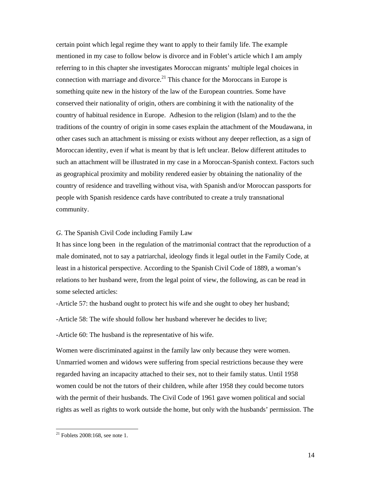certain point which legal regime they want to apply to their family life. The example mentioned in my case to follow below is divorce and in Foblet's article which I am amply referring to in this chapter she investigates Moroccan migrants' multiple legal choices in connection with marriage and divorce.<sup>21</sup> This chance for the Moroccans in Europe is something quite new in the history of the law of the European countries. Some have conserved their nationality of origin, others are combining it with the nationality of the country of habitual residence in Europe. Adhesion to the religion (Islam) and to the the traditions of the country of origin in some cases explain the attachment of the Moudawana, in other cases such an attachment is missing or exists without any deeper reflection, as a sign of Moroccan identity, even if what is meant by that is left unclear. Below different attitudes to such an attachment will be illustrated in my case in a Moroccan-Spanish context. Factors such as geographical proximity and mobility rendered easier by obtaining the nationality of the country of residence and travelling without visa, with Spanish and/or Moroccan passports for people with Spanish residence cards have contributed to create a truly transnational community.

# *G.* The Spanish Civil Code including Family Law

It has since long been in the regulation of the matrimonial contract that the reproduction of a male dominated, not to say a patriarchal, ideology finds it legal outlet in the Family Code, at least in a historical perspective. According to the Spanish Civil Code of 1889, a woman's relations to her husband were, from the legal point of view, the following, as can be read in some selected articles:

-Article 57: the husband ought to protect his wife and she ought to obey her husband;

-Article 58: The wife should follow her husband wherever he decides to live;

-Article 60: The husband is the representative of his wife.

Women were discriminated against in the family law only because they were women. Unmarried women and widows were suffering from special restrictions because they were regarded having an incapacity attached to their sex, not to their family status. Until 1958 women could be not the tutors of their children, while after 1958 they could become tutors with the permit of their husbands. The Civil Code of 1961 gave women political and social rights as well as rights to work outside the home, but only with the husbands' permission. The

 $^{21}$  Foblets 2008:168, see note 1.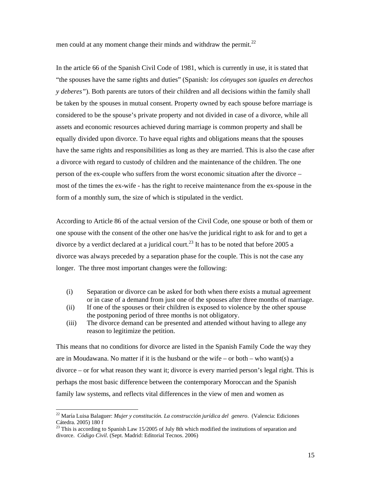men could at any moment change their minds and withdraw the permit. $^{22}$ 

In the article 66 of the Spanish Civil Code of 1981, which is currently in use, it is stated that "the spouses have the same rights and duties" (Spanish*: los cónyuges son iguales en derechos y deberes"*). Both parents are tutors of their children and all decisions within the family shall be taken by the spouses in mutual consent. Property owned by each spouse before marriage is considered to be the spouse's private property and not divided in case of a divorce, while all assets and economic resources achieved during marriage is common property and shall be equally divided upon divorce. To have equal rights and obligations means that the spouses have the same rights and responsibilities as long as they are married. This is also the case after a divorce with regard to custody of children and the maintenance of the children. The one person of the ex-couple who suffers from the worst economic situation after the divorce – most of the times the ex-wife - has the right to receive maintenance from the ex-spouse in the form of a monthly sum, the size of which is stipulated in the verdict.

According to Article 86 of the actual version of the Civil Code, one spouse or both of them or one spouse with the consent of the other one has/ve the juridical right to ask for and to get a divorce by a verdict declared at a juridical court.<sup>23</sup> It has to be noted that before 2005 a divorce was always preceded by a separation phase for the couple. This is not the case any longer. The three most important changes were the following:

- (i) Separation or divorce can be asked for both when there exists a mutual agreement or in case of a demand from just one of the spouses after three months of marriage.
- (ii) If one of the spouses or their children is exposed to violence by the other spouse the postponing period of three months is not obligatory.
- (iii) The divorce demand can be presented and attended without having to allege any reason to legitimize the petition.

This means that no conditions for divorce are listed in the Spanish Family Code the way they are in Moudawana. No matter if it is the husband or the wife – or both – who want(s) a divorce – or for what reason they want it; divorce is every married person's legal right. This is perhaps the most basic difference between the contemporary Moroccan and the Spanish family law systems, and reflects vital differences in the view of men and women as

<sup>22</sup> María Luisa Balaguer: *Mujer y constitución. La construcción jurídica del genero*. (Valencia: Ediciones Cátedra. 2005) 180 f

This is according to Spanish Law 15/2005 of July 8th which modified the institutions of separation and divorce. *Código Civil*. (Sept. Madrid: Editorial Tecnos. 2006)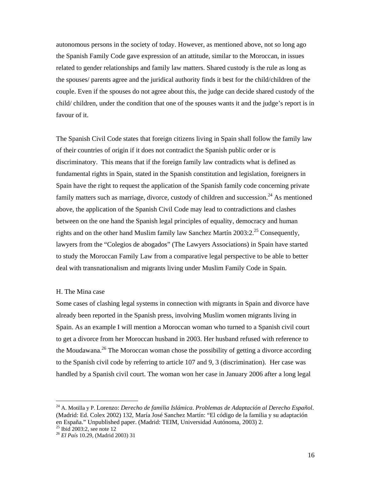autonomous persons in the society of today. However, as mentioned above, not so long ago the Spanish Family Code gave expression of an attitude, similar to the Moroccan, in issues related to gender relationships and family law matters. Shared custody is the rule as long as the spouses/ parents agree and the juridical authority finds it best for the child/children of the couple. Even if the spouses do not agree about this, the judge can decide shared custody of the child/ children, under the condition that one of the spouses wants it and the judge's report is in favour of it.

The Spanish Civil Code states that foreign citizens living in Spain shall follow the family law of their countries of origin if it does not contradict the Spanish public order or is discriminatory. This means that if the foreign family law contradicts what is defined as fundamental rights in Spain, stated in the Spanish constitution and legislation, foreigners in Spain have the right to request the application of the Spanish family code concerning private family matters such as marriage, divorce, custody of children and succession.<sup>24</sup> As mentioned above, the application of the Spanish Civil Code may lead to contradictions and clashes between on the one hand the Spanish legal principles of equality, democracy and human rights and on the other hand Muslim family law Sanchez Martín  $2003:2.^{25}$  Consequently, lawyers from the "Colegios de abogados" (The Lawyers Associations) in Spain have started to study the Moroccan Family Law from a comparative legal perspective to be able to better deal with transnationalism and migrants living under Muslim Family Code in Spain.

#### H. The Mina case

Some cases of clashing legal systems in connection with migrants in Spain and divorce have already been reported in the Spanish press, involving Muslim women migrants living in Spain. As an example I will mention a Moroccan woman who turned to a Spanish civil court to get a divorce from her Moroccan husband in 2003. Her husband refused with reference to the Moudawana.<sup>26</sup> The Moroccan woman chose the possibility of getting a divorce according to the Spanish civil code by referring to article 107 and 9, 3 (discrimination). Her case was handled by a Spanish civil court. The woman won her case in January 2006 after a long legal

<sup>24</sup> A. Motilla y P. Lorenzo: *Derecho de familia Islámica*. *Problemas de Adaptación al Derecho Español*. (Madrid: Ed. Colex 2002) 132, María José Sanchez Martín: "El código de la familia y su adaptación en España." Unpublished paper. (Madrid: TEIM, Universidad Autónoma, 2003) 2. 25 Ibid 2003:2, see note 12

<sup>26</sup> *El País* 10.29, (Madrid 2003) 31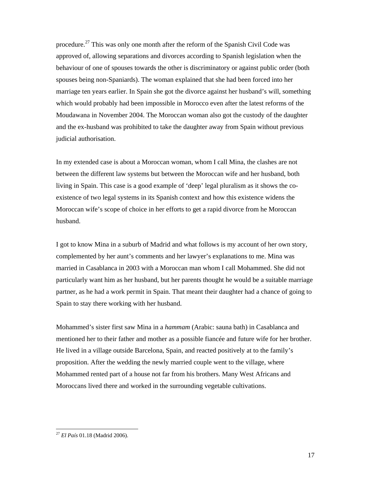procedure.<sup>27</sup> This was only one month after the reform of the Spanish Civil Code was approved of, allowing separations and divorces according to Spanish legislation when the behaviour of one of spouses towards the other is discriminatory or against public order (both spouses being non-Spaniards). The woman explained that she had been forced into her marriage ten years earlier. In Spain she got the divorce against her husband's will, something which would probably had been impossible in Morocco even after the latest reforms of the Moudawana in November 2004. The Moroccan woman also got the custody of the daughter and the ex-husband was prohibited to take the daughter away from Spain without previous judicial authorisation.

In my extended case is about a Moroccan woman, whom I call Mina, the clashes are not between the different law systems but between the Moroccan wife and her husband, both living in Spain. This case is a good example of 'deep' legal pluralism as it shows the coexistence of two legal systems in its Spanish context and how this existence widens the Moroccan wife's scope of choice in her efforts to get a rapid divorce from he Moroccan husband.

I got to know Mina in a suburb of Madrid and what follows is my account of her own story, complemented by her aunt's comments and her lawyer's explanations to me. Mina was married in Casablanca in 2003 with a Moroccan man whom I call Mohammed. She did not particularly want him as her husband, but her parents thought he would be a suitable marriage partner, as he had a work permit in Spain. That meant their daughter had a chance of going to Spain to stay there working with her husband.

Mohammed's sister first saw Mina in a *hammam* (Arabic: sauna bath) in Casablanca and mentioned her to their father and mother as a possible fiancée and future wife for her brother. He lived in a village outside Barcelona, Spain, and reacted positively at to the family's proposition. After the wedding the newly married couple went to the village, where Mohammed rented part of a house not far from his brothers. Many West Africans and Moroccans lived there and worked in the surrounding vegetable cultivations.

<sup>27</sup> *El País* 01.18 (Madrid 2006).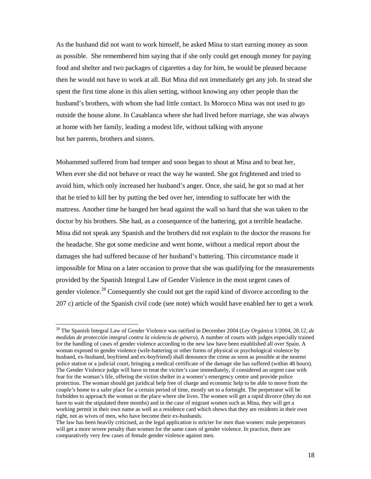As the husband did not want to work himself, he asked Mina to start earning money as soon as possible. She remembered him saying that if she only could get enough money for paying food and shelter and two packages of cigarettes a day for him, he would be pleased because then he would not have to work at all. But Mina did not immediately get any job. In stead she spent the first time alone in this alien setting, without knowing any other people than the husband's brothers, with whom she had little contact. In Morocco Mina was not used to go outside the house alone. In Casablanca where she had lived before marriage, she was always at home with her family, leading a modest life, without talking with anyone but her parents, brothers and sisters.

Mohammed suffered from bad temper and soon began to shout at Mina and to beat her, When ever she did not behave or react the way he wanted. She got frightened and tried to avoid him, which only increased her husband's anger. Once, she said, he got so mad at her that he tried to kill her by putting the bed over her, intending to suffocate her with the mattress. Another time he banged her head against the wall so hard that she was taken to the doctor by his brothers. She had, as a consequence of the battering, got a terrible headache. Mina did not speak any Spanish and the brothers did not explain to the doctor the reasons for the headache. She got some medicine and went home, without a medical report about the damages she had suffered because of her husband's battering. This circumstance made it impossible for Mina on a later occasion to prove that she was qualifying for the measurements provided by the Spanish Integral Law of Gender Violence in the most urgent cases of gender violence.<sup>28</sup> Consequently she could not get the rapid kind of divorce according to the 207 c) article of the Spanish civil code (see note) which would have enabled her to get a work

<sup>28</sup> The Spanish Integral Law of Gender Violence was ratified in December 2004 (*Ley Orgánica* 1/2004, 28.12*, de medidas de protección integral contra la violencia de género*). A number of courts with judges especially trained for the handling of cases of gender violence according to the new law have been established all over Spain. A woman exposed to gender violence (wife-battering or other forms of physical or psychological violence by husband, ex-husband, boyfriend and ex-boyfriend) shall denounce the crime as soon as possible at the nearest police station or a judicial court, bringing a medical certificate of the damage she has suffered (within 48 hours). The Gender Violence judge will have to treat the victim's case immediately, if considered an urgent case with fear for the woman's life, offering the victim shelter in a women's emergency centre and provide police protection. The woman should get juridical help free of charge and economic help to be able to move from the couple's home to a safer place for a certain period of time, mostly set to a fortnight. The perpetrator will be forbidden to approach the woman or the place where she lives. The women will get a rapid divorce (they do not have to wait the stipulated three months) and in the case of migrant women such as Mina, they will get a working permit in their own name as well as a residence card which shows that they are residents in their own right, not as wives of men, who have become their ex-husbands.

The law has been heavily criticised, as the legal application is stricter for men than women: male perpetrators will get a more severe penalty than women for the same cases of gender violence. In practice, there are comparatively very few cases of female gender violence against men.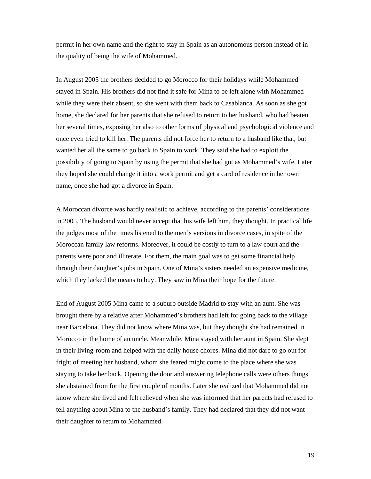permit in her own name and the right to stay in Spain as an autonomous person instead of in the quality of being the wife of Mohammed.

In August 2005 the brothers decided to go Morocco for their holidays while Mohammed stayed in Spain. His brothers did not find it safe for Mina to be left alone with Mohammed while they were their absent, so she went with them back to Casablanca. As soon as she got home, she declared for her parents that she refused to return to her husband, who had beaten her several times, exposing her also to other forms of physical and psychological violence and once even tried to kill her. The parents did not force her to return to a husband like that, but wanted her all the same to go back to Spain to work. They said she had to exploit the possibility of going to Spain by using the permit that she had got as Mohammed's wife. Later they hoped she could change it into a work permit and get a card of residence in her own name, once she had got a divorce in Spain.

A Moroccan divorce was hardly realistic to achieve, according to the parents' considerations in 2005. The husband would never accept that his wife left him, they thought. In practical life the judges most of the times listened to the men's versions in divorce cases, in spite of the Moroccan family law reforms. Moreover, it could be costly to turn to a law court and the parents were poor and illiterate. For them, the main goal was to get some financial help through their daughter's jobs in Spain. One of Mina's sisters needed an expensive medicine, which they lacked the means to buy. They saw in Mina their hope for the future.

End of August 2005 Mina came to a suburb outside Madrid to stay with an aunt. She was brought there by a relative after Mohammed's brothers had left for going back to the village near Barcelona. They did not know where Mina was, but they thought she had remained in Morocco in the home of an uncle. Meanwhile, Mina stayed with her aunt in Spain. She slept in their living-room and helped with the daily house chores. Mina did not dare to go out for fright of meeting her husband, whom she feared might come to the place where she was staying to take her back. Opening the door and answering telephone calls were others things she abstained from for the first couple of months. Later she realized that Mohammed did not know where she lived and felt relieved when she was informed that her parents had refused to tell anything about Mina to the husband's family. They had declared that they did not want their daughter to return to Mohammed.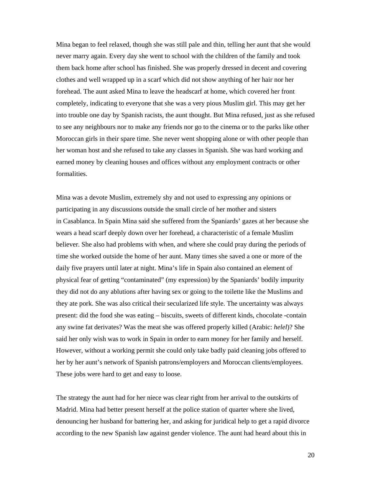Mina began to feel relaxed, though she was still pale and thin, telling her aunt that she would never marry again. Every day she went to school with the children of the family and took them back home after school has finished. She was properly dressed in decent and covering clothes and well wrapped up in a scarf which did not show anything of her hair nor her forehead. The aunt asked Mina to leave the headscarf at home, which covered her front completely, indicating to everyone that she was a very pious Muslim girl. This may get her into trouble one day by Spanish racists, the aunt thought. But Mina refused, just as she refused to see any neighbours nor to make any friends nor go to the cinema or to the parks like other Moroccan girls in their spare time. She never went shopping alone or with other people than her woman host and she refused to take any classes in Spanish. She was hard working and earned money by cleaning houses and offices without any employment contracts or other formalities.

Mina was a devote Muslim, extremely shy and not used to expressing any opinions or participating in any discussions outside the small circle of her mother and sisters in Casablanca. In Spain Mina said she suffered from the Spaniards' gazes at her because she wears a head scarf deeply down over her forehead, a characteristic of a female Muslim believer. She also had problems with when, and where she could pray during the periods of time she worked outside the home of her aunt. Many times she saved a one or more of the daily five prayers until later at night. Mina's life in Spain also contained an element of physical fear of getting "contaminated" (my expression) by the Spaniards' bodily impurity they did not do any ablutions after having sex or going to the toilette like the Muslims and they ate pork. She was also critical their secularized life style. The uncertainty was always present: did the food she was eating – biscuits, sweets of different kinds, chocolate -contain any swine fat derivates? Was the meat she was offered properly killed (Arabic: *helel*)? She said her only wish was to work in Spain in order to earn money for her family and herself. However, without a working permit she could only take badly paid cleaning jobs offered to her by her aunt's network of Spanish patrons/employers and Moroccan clients/employees. These jobs were hard to get and easy to loose.

The strategy the aunt had for her niece was clear right from her arrival to the outskirts of Madrid. Mina had better present herself at the police station of quarter where she lived, denouncing her husband for battering her, and asking for juridical help to get a rapid divorce according to the new Spanish law against gender violence. The aunt had heard about this in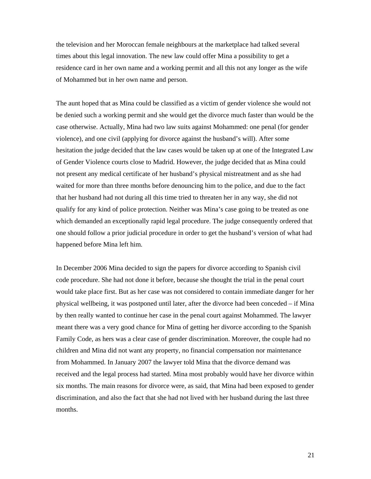the television and her Moroccan female neighbours at the marketplace had talked several times about this legal innovation. The new law could offer Mina a possibility to get a residence card in her own name and a working permit and all this not any longer as the wife of Mohammed but in her own name and person.

The aunt hoped that as Mina could be classified as a victim of gender violence she would not be denied such a working permit and she would get the divorce much faster than would be the case otherwise. Actually, Mina had two law suits against Mohammed: one penal (for gender violence), and one civil (applying for divorce against the husband's will). After some hesitation the judge decided that the law cases would be taken up at one of the Integrated Law of Gender Violence courts close to Madrid. However, the judge decided that as Mina could not present any medical certificate of her husband's physical mistreatment and as she had waited for more than three months before denouncing him to the police, and due to the fact that her husband had not during all this time tried to threaten her in any way, she did not qualify for any kind of police protection. Neither was Mina's case going to be treated as one which demanded an exceptionally rapid legal procedure. The judge consequently ordered that one should follow a prior judicial procedure in order to get the husband's version of what had happened before Mina left him.

In December 2006 Mina decided to sign the papers for divorce according to Spanish civil code procedure. She had not done it before, because she thought the trial in the penal court would take place first. But as her case was not considered to contain immediate danger for her physical wellbeing, it was postponed until later, after the divorce had been conceded – if Mina by then really wanted to continue her case in the penal court against Mohammed. The lawyer meant there was a very good chance for Mina of getting her divorce according to the Spanish Family Code, as hers was a clear case of gender discrimination. Moreover, the couple had no children and Mina did not want any property, no financial compensation nor maintenance from Mohammed. In January 2007 the lawyer told Mina that the divorce demand was received and the legal process had started. Mina most probably would have her divorce within six months. The main reasons for divorce were, as said, that Mina had been exposed to gender discrimination, and also the fact that she had not lived with her husband during the last three months.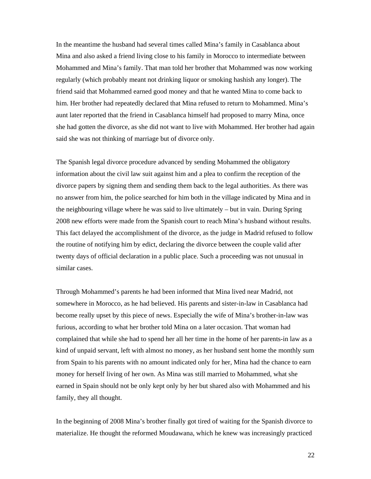In the meantime the husband had several times called Mina's family in Casablanca about Mina and also asked a friend living close to his family in Morocco to intermediate between Mohammed and Mina's family. That man told her brother that Mohammed was now working regularly (which probably meant not drinking liquor or smoking hashish any longer). The friend said that Mohammed earned good money and that he wanted Mina to come back to him. Her brother had repeatedly declared that Mina refused to return to Mohammed. Mina's aunt later reported that the friend in Casablanca himself had proposed to marry Mina, once she had gotten the divorce, as she did not want to live with Mohammed. Her brother had again said she was not thinking of marriage but of divorce only.

The Spanish legal divorce procedure advanced by sending Mohammed the obligatory information about the civil law suit against him and a plea to confirm the reception of the divorce papers by signing them and sending them back to the legal authorities. As there was no answer from him, the police searched for him both in the village indicated by Mina and in the neighbouring village where he was said to live ultimately – but in vain. During Spring 2008 new efforts were made from the Spanish court to reach Mina's husband without results. This fact delayed the accomplishment of the divorce, as the judge in Madrid refused to follow the routine of notifying him by edict, declaring the divorce between the couple valid after twenty days of official declaration in a public place. Such a proceeding was not unusual in similar cases.

Through Mohammed's parents he had been informed that Mina lived near Madrid, not somewhere in Morocco, as he had believed. His parents and sister-in-law in Casablanca had become really upset by this piece of news. Especially the wife of Mina's brother-in-law was furious, according to what her brother told Mina on a later occasion. That woman had complained that while she had to spend her all her time in the home of her parents-in law as a kind of unpaid servant, left with almost no money, as her husband sent home the monthly sum from Spain to his parents with no amount indicated only for her, Mina had the chance to earn money for herself living of her own. As Mina was still married to Mohammed, what she earned in Spain should not be only kept only by her but shared also with Mohammed and his family, they all thought.

In the beginning of 2008 Mina's brother finally got tired of waiting for the Spanish divorce to materialize. He thought the reformed Moudawana, which he knew was increasingly practiced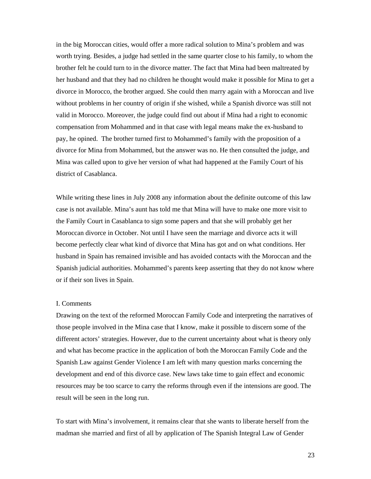in the big Moroccan cities, would offer a more radical solution to Mina's problem and was worth trying. Besides, a judge had settled in the same quarter close to his family, to whom the brother felt he could turn to in the divorce matter. The fact that Mina had been maltreated by her husband and that they had no children he thought would make it possible for Mina to get a divorce in Morocco, the brother argued. She could then marry again with a Moroccan and live without problems in her country of origin if she wished, while a Spanish divorce was still not valid in Morocco. Moreover, the judge could find out about if Mina had a right to economic compensation from Mohammed and in that case with legal means make the ex-husband to pay, he opined. The brother turned first to Mohammed's family with the proposition of a divorce for Mina from Mohammed, but the answer was no. He then consulted the judge, and Mina was called upon to give her version of what had happened at the Family Court of his district of Casablanca.

While writing these lines in July 2008 any information about the definite outcome of this law case is not available. Mina's aunt has told me that Mina will have to make one more visit to the Family Court in Casablanca to sign some papers and that she will probably get her Moroccan divorce in October. Not until I have seen the marriage and divorce acts it will become perfectly clear what kind of divorce that Mina has got and on what conditions. Her husband in Spain has remained invisible and has avoided contacts with the Moroccan and the Spanish judicial authorities. Mohammed's parents keep asserting that they do not know where or if their son lives in Spain.

# I. Comments

Drawing on the text of the reformed Moroccan Family Code and interpreting the narratives of those people involved in the Mina case that I know, make it possible to discern some of the different actors' strategies. However, due to the current uncertainty about what is theory only and what has become practice in the application of both the Moroccan Family Code and the Spanish Law against Gender Violence I am left with many question marks concerning the development and end of this divorce case. New laws take time to gain effect and economic resources may be too scarce to carry the reforms through even if the intensions are good. The result will be seen in the long run.

To start with Mina's involvement, it remains clear that she wants to liberate herself from the madman she married and first of all by application of The Spanish Integral Law of Gender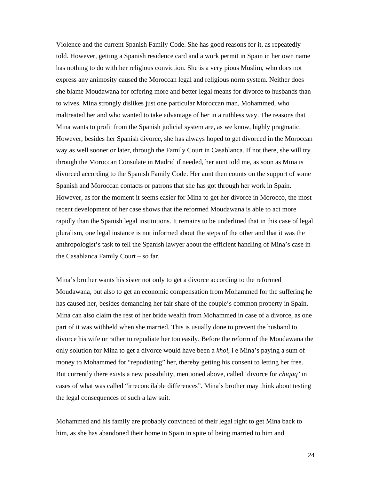Violence and the current Spanish Family Code. She has good reasons for it, as repeatedly told. However, getting a Spanish residence card and a work permit in Spain in her own name has nothing to do with her religious conviction. She is a very pious Muslim, who does not express any animosity caused the Moroccan legal and religious norm system. Neither does she blame Moudawana for offering more and better legal means for divorce to husbands than to wives. Mina strongly dislikes just one particular Moroccan man, Mohammed, who maltreated her and who wanted to take advantage of her in a ruthless way. The reasons that Mina wants to profit from the Spanish judicial system are, as we know, highly pragmatic. However, besides her Spanish divorce, she has always hoped to get divorced in the Moroccan way as well sooner or later, through the Family Court in Casablanca. If not there, she will try through the Moroccan Consulate in Madrid if needed, her aunt told me, as soon as Mina is divorced according to the Spanish Family Code. Her aunt then counts on the support of some Spanish and Moroccan contacts or patrons that she has got through her work in Spain. However, as for the moment it seems easier for Mina to get her divorce in Morocco, the most recent development of her case shows that the reformed Moudawana is able to act more rapidly than the Spanish legal institutions. It remains to be underlined that in this case of legal pluralism, one legal instance is not informed about the steps of the other and that it was the anthropologist's task to tell the Spanish lawyer about the efficient handling of Mina's case in the Casablanca Family Court – so far.

Mina's brother wants his sister not only to get a divorce according to the reformed Moudawana, but also to get an economic compensation from Mohammed for the suffering he has caused her, besides demanding her fair share of the couple's common property in Spain. Mina can also claim the rest of her bride wealth from Mohammed in case of a divorce, as one part of it was withheld when she married. This is usually done to prevent the husband to divorce his wife or rather to repudiate her too easily. Before the reform of the Moudawana the only solution for Mina to get a divorce would have been a *khol*, i e Mina's paying a sum of money to Mohammed for "repudiating" her, thereby getting his consent to letting her free. But currently there exists a new possibility, mentioned above, called 'divorce for *chiqaq'* in cases of what was called "irreconcilable differences". Mina's brother may think about testing the legal consequences of such a law suit.

Mohammed and his family are probably convinced of their legal right to get Mina back to him, as she has abandoned their home in Spain in spite of being married to him and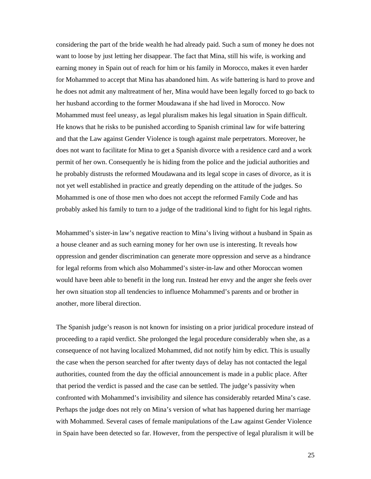considering the part of the bride wealth he had already paid. Such a sum of money he does not want to loose by just letting her disappear. The fact that Mina, still his wife, is working and earning money in Spain out of reach for him or his family in Morocco, makes it even harder for Mohammed to accept that Mina has abandoned him. As wife battering is hard to prove and he does not admit any maltreatment of her, Mina would have been legally forced to go back to her husband according to the former Moudawana if she had lived in Morocco. Now Mohammed must feel uneasy, as legal pluralism makes his legal situation in Spain difficult. He knows that he risks to be punished according to Spanish criminal law for wife battering and that the Law against Gender Violence is tough against male perpetrators. Moreover, he does not want to facilitate for Mina to get a Spanish divorce with a residence card and a work permit of her own. Consequently he is hiding from the police and the judicial authorities and he probably distrusts the reformed Moudawana and its legal scope in cases of divorce, as it is not yet well established in practice and greatly depending on the attitude of the judges. So Mohammed is one of those men who does not accept the reformed Family Code and has probably asked his family to turn to a judge of the traditional kind to fight for his legal rights.

Mohammed's sister-in law's negative reaction to Mina's living without a husband in Spain as a house cleaner and as such earning money for her own use is interesting. It reveals how oppression and gender discrimination can generate more oppression and serve as a hindrance for legal reforms from which also Mohammed's sister-in-law and other Moroccan women would have been able to benefit in the long run. Instead her envy and the anger she feels over her own situation stop all tendencies to influence Mohammed's parents and or brother in another, more liberal direction.

The Spanish judge's reason is not known for insisting on a prior juridical procedure instead of proceeding to a rapid verdict. She prolonged the legal procedure considerably when she, as a consequence of not having localized Mohammed, did not notify him by edict. This is usually the case when the person searched for after twenty days of delay has not contacted the legal authorities, counted from the day the official announcement is made in a public place. After that period the verdict is passed and the case can be settled. The judge's passivity when confronted with Mohammed's invisibility and silence has considerably retarded Mina's case. Perhaps the judge does not rely on Mina's version of what has happened during her marriage with Mohammed. Several cases of female manipulations of the Law against Gender Violence in Spain have been detected so far. However, from the perspective of legal pluralism it will be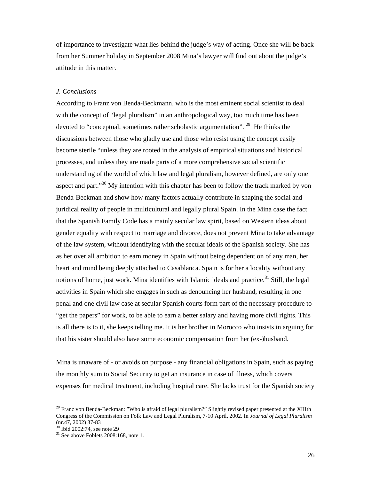of importance to investigate what lies behind the judge's way of acting. Once she will be back from her Summer holiday in September 2008 Mina's lawyer will find out about the judge's attitude in this matter.

# *J. Conclusions*

According to Franz von Benda-Beckmann, who is the most eminent social scientist to deal with the concept of "legal pluralism" in an anthropological way, too much time has been devoted to "conceptual, sometimes rather scholastic argumentation". <sup>29</sup> He thinks the discussions between those who gladly use and those who resist using the concept easily become sterile "unless they are rooted in the analysis of empirical situations and historical processes, and unless they are made parts of a more comprehensive social scientific understanding of the world of which law and legal pluralism, however defined, are only one aspect and part."<sup>30</sup> My intention with this chapter has been to follow the track marked by von Benda-Beckman and show how many factors actually contribute in shaping the social and juridical reality of people in multicultural and legally plural Spain. In the Mina case the fact that the Spanish Family Code has a mainly secular law spirit, based on Western ideas about gender equality with respect to marriage and divorce, does not prevent Mina to take advantage of the law system, without identifying with the secular ideals of the Spanish society. She has as her over all ambition to earn money in Spain without being dependent on of any man, her heart and mind being deeply attached to Casablanca. Spain is for her a locality without any notions of home, just work. Mina identifies with Islamic ideals and practice.<sup>31</sup> Still, the legal activities in Spain which she engages in such as denouncing her husband, resulting in one penal and one civil law case at secular Spanish courts form part of the necessary procedure to "get the papers" for work, to be able to earn a better salary and having more civil rights. This is all there is to it, she keeps telling me. It is her brother in Morocco who insists in arguing for that his sister should also have some economic compensation from her (ex-)husband.

Mina is unaware of - or avoids on purpose - any financial obligations in Spain, such as paying the monthly sum to Social Security to get an insurance in case of illness, which covers expenses for medical treatment, including hospital care. She lacks trust for the Spanish society

<sup>&</sup>lt;sup>29</sup> Franz von Benda-Beckman: "Who is afraid of legal pluralism?" Slightly revised paper presented at the XIIIth Congress of the Commission on Folk Law and Legal Pluralism, 7-10 April, 2002. In *Journal of Legal Pluralism* (nr.47, 2002) 37-83

<sup>30</sup> Ibid 2002:74, see note 29

 $31$  See above Foblets 2008:168, note 1.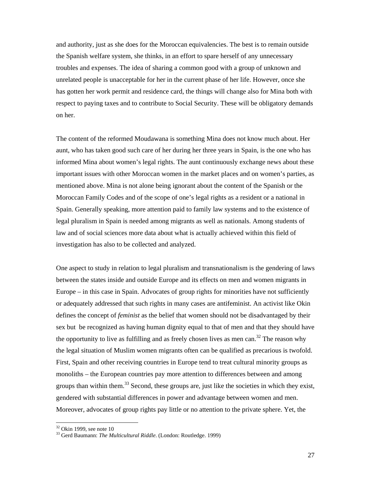and authority, just as she does for the Moroccan equivalencies. The best is to remain outside the Spanish welfare system, she thinks, in an effort to spare herself of any unnecessary troubles and expenses. The idea of sharing a common good with a group of unknown and unrelated people is unacceptable for her in the current phase of her life. However, once she has gotten her work permit and residence card, the things will change also for Mina both with respect to paying taxes and to contribute to Social Security. These will be obligatory demands on her.

The content of the reformed Moudawana is something Mina does not know much about. Her aunt, who has taken good such care of her during her three years in Spain, is the one who has informed Mina about women's legal rights. The aunt continuously exchange news about these important issues with other Moroccan women in the market places and on women's parties, as mentioned above. Mina is not alone being ignorant about the content of the Spanish or the Moroccan Family Codes and of the scope of one's legal rights as a resident or a national in Spain. Generally speaking, more attention paid to family law systems and to the existence of legal pluralism in Spain is needed among migrants as well as nationals. Among students of law and of social sciences more data about what is actually achieved within this field of investigation has also to be collected and analyzed.

One aspect to study in relation to legal pluralism and transnationalism is the gendering of laws between the states inside and outside Europe and its effects on men and women migrants in Europe – in this case in Spain. Advocates of group rights for minorities have not sufficiently or adequately addressed that such rights in many cases are antifeminist. An activist like Okin defines the concept of *feminist* as the belief that women should not be disadvantaged by their sex but be recognized as having human dignity equal to that of men and that they should have the opportunity to live as fulfilling and as freely chosen lives as men can.<sup>32</sup> The reason why the legal situation of Muslim women migrants often can be qualified as precarious is twofold. First, Spain and other receiving countries in Europe tend to treat cultural minority groups as monoliths – the European countries pay more attention to differences between and among groups than within them.<sup>33</sup> Second, these groups are, just like the societies in which they exist, gendered with substantial differences in power and advantage between women and men. Moreover, advocates of group rights pay little or no attention to the private sphere. Yet, the

 $32$  Okin 1999, see note 10

<sup>33</sup> Gerd Baumann: *The Multicultural Riddle*. (London: Routledge. 1999)